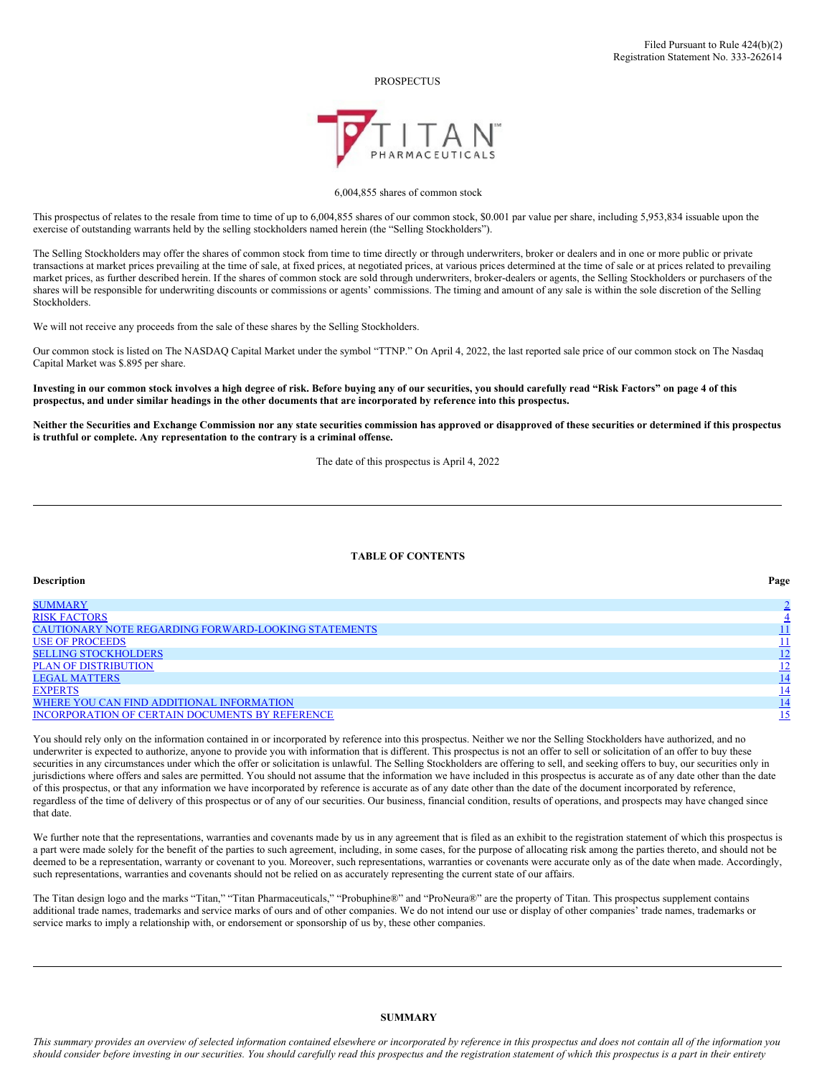PROSPECTUS



### 6,004,855 shares of common stock

This prospectus of relates to the resale from time to time of up to 6,004,855 shares of our common stock, \$0.001 par value per share, including 5,953,834 issuable upon the exercise of outstanding warrants held by the selling stockholders named herein (the "Selling Stockholders").

The Selling Stockholders may offer the shares of common stock from time to time directly or through underwriters, broker or dealers and in one or more public or private transactions at market prices prevailing at the time of sale, at fixed prices, at negotiated prices, at various prices determined at the time of sale or at prices related to prevailing market prices, as further described herein. If the shares of common stock are sold through underwriters, broker-dealers or agents, the Selling Stockholders or purchasers of the shares will be responsible for underwriting discounts or commissions or agents' commissions. The timing and amount of any sale is within the sole discretion of the Selling Stockholders.

We will not receive any proceeds from the sale of these shares by the Selling Stockholders.

Our common stock is listed on The NASDAQ Capital Market under the symbol "TTNP." On April 4, 2022, the last reported sale price of our common stock on The Nasdaq Capital Market was \$.895 per share.

Investing in our common stock involves a high degree of risk. Before buving any of our securities, you should carefully read "Risk Factors" on page 4 of this prospectus, and under similar headings in the other documents that are incorporated by reference into this prospectus.

Neither the Securities and Exchange Commission nor any state securities commission has approved or disapproved of these securities or determined if this prospectus **is truthful or complete. Any representation to the contrary is a criminal offense.**

The date of this prospectus is April 4, 2022

### **TABLE OF CONTENTS**

| <b>Description</b>                                     | Page       |
|--------------------------------------------------------|------------|
| <b>SUMMARY</b>                                         |            |
| <b>RISK FACTORS</b>                                    |            |
| CAUTIONARY NOTE REGARDING FORWARD-LOOKING STATEMENTS   |            |
| <b>USE OF PROCEEDS</b>                                 |            |
| <b>SELLING STOCKHOLDERS</b>                            | 12         |
| <b>PLAN OF DISTRIBUTION</b>                            | <u>12</u>  |
| <b>LEGAL MATTERS</b>                                   | 14         |
| <b>EXPERTS</b>                                         | <u> 14</u> |
| WHERE YOU CAN FIND ADDITIONAL INFORMATION              |            |
| <b>INCORPORATION OF CERTAIN DOCUMENTS BY REFERENCE</b> | <u> 15</u> |

You should rely only on the information contained in or incorporated by reference into this prospectus. Neither we nor the Selling Stockholders have authorized, and no underwriter is expected to authorize, anyone to provide you with information that is different. This prospectus is not an offer to sell or solicitation of an offer to buy these securities in any circumstances under which the offer or solicitation is unlawful. The Selling Stockholders are offering to sell, and seeking offers to buy, our securities only in jurisdictions where offers and sales are permitted. You should not assume that the information we have included in this prospectus is accurate as of any date other than the date of this prospectus, or that any information we have incorporated by reference is accurate as of any date other than the date of the document incorporated by reference, regardless of the time of delivery of this prospectus or of any of our securities. Our business, financial condition, results of operations, and prospects may have changed since that date.

We further note that the representations, warranties and covenants made by us in any agreement that is filed as an exhibit to the registration statement of which this prospectus is a part were made solely for the benefit of the parties to such agreement, including, in some cases, for the purpose of allocating risk among the parties thereto, and should not be deemed to be a representation, warranty or covenant to you. Moreover, such representations, warranties or covenants were accurate only as of the date when made. Accordingly, such representations, warranties and covenants should not be relied on as accurately representing the current state of our affairs.

The Titan design logo and the marks "Titan," "Titan Pharmaceuticals," "Probuphine®" and "ProNeura®" are the property of Titan. This prospectus supplement contains additional trade names, trademarks and service marks of ours and of other companies. We do not intend our use or display of other companies' trade names, trademarks or service marks to imply a relationship with, or endorsement or sponsorship of us by, these other companies.

## <span id="page-0-0"></span>**SUMMARY**

This summary provides an overview of selected information contained elsewhere or incorporated by reference in this prospectus and does not contain all of the information you should consider before investing in our securities. You should carefully read this prospectus and the registration statement of which this prospectus is a part in their entirety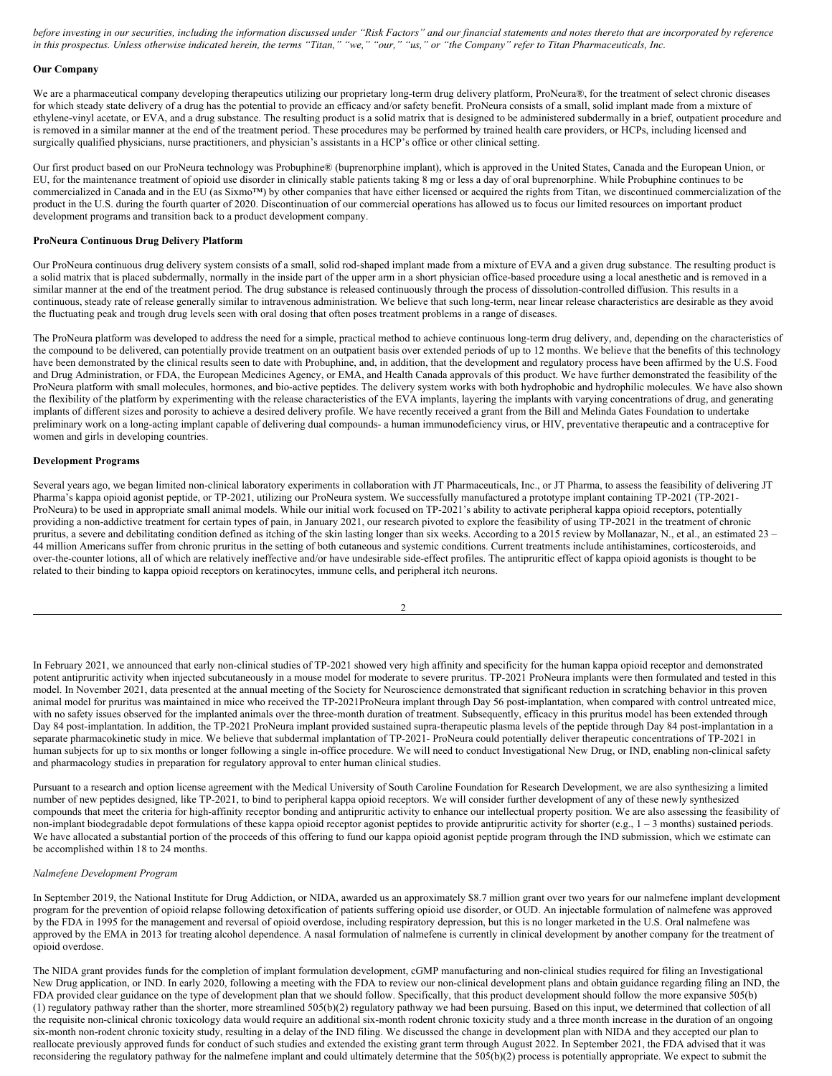before investing in our securities, including the information discussed under "Risk Factors" and our financial statements and notes thereto that are incorporated by reference in this prospectus. Unless otherwise indicated herein, the terms "Titan," "we," "our," "us," or "the Company" refer to Titan Pharmaceuticals, Inc.

#### **Our Company**

We are a pharmaceutical company developing therapeutics utilizing our proprietary long-term drug delivery platform, ProNeura®, for the treatment of select chronic diseases for which steady state delivery of a drug has the potential to provide an efficacy and/or safety benefit. ProNeura consists of a small, solid implant made from a mixture of ethylene-vinyl acetate, or EVA, and a drug substance. The resulting product is a solid matrix that is designed to be administered subdermally in a brief, outpatient procedure and is removed in a similar manner at the end of the treatment period. These procedures may be performed by trained health care providers, or HCPs, including licensed and surgically qualified physicians, nurse practitioners, and physician's assistants in a HCP's office or other clinical setting.

Our first product based on our ProNeura technology was Probuphine® (buprenorphine implant), which is approved in the United States, Canada and the European Union, or EU, for the maintenance treatment of opioid use disorder in clinically stable patients taking 8 mg or less a day of oral buprenorphine. While Probuphine continues to be commercialized in Canada and in the EU (as Sixmo<sup>TM</sup>) by other companies that have either licensed or acquired the rights from Titan, we discontinued commercialization of the product in the U.S. during the fourth quarter of 2020. Discontinuation of our commercial operations has allowed us to focus our limited resources on important product development programs and transition back to a product development company.

### **ProNeura Continuous Drug Delivery Platform**

Our ProNeura continuous drug delivery system consists of a small, solid rod-shaped implant made from a mixture of EVA and a given drug substance. The resulting product is a solid matrix that is placed subdermally, normally in the inside part of the upper arm in a short physician office-based procedure using a local anesthetic and is removed in a similar manner at the end of the treatment period. The drug substance is released continuously through the process of dissolution-controlled diffusion. This results in a continuous, steady rate of release generally similar to intravenous administration. We believe that such long-term, near linear release characteristics are desirable as they avoid the fluctuating peak and trough drug levels seen with oral dosing that often poses treatment problems in a range of diseases.

The ProNeura platform was developed to address the need for a simple, practical method to achieve continuous long-term drug delivery, and, depending on the characteristics of the compound to be delivered, can potentially provide treatment on an outpatient basis over extended periods of up to 12 months. We believe that the benefits of this technology have been demonstrated by the clinical results seen to date with Probuphine, and, in addition, that the development and regulatory process have been affirmed by the U.S. Food and Drug Administration, or FDA, the European Medicines Agency, or EMA, and Health Canada approvals of this product. We have further demonstrated the feasibility of the ProNeura platform with small molecules, hormones, and bio-active peptides. The delivery system works with both hydrophobic and hydrophilic molecules. We have also shown the flexibility of the platform by experimenting with the release characteristics of the EVA implants, layering the implants with varying concentrations of drug, and generating implants of different sizes and porosity to achieve a desired delivery profile. We have recently received a grant from the Bill and Melinda Gates Foundation to undertake preliminary work on a long-acting implant capable of delivering dual compounds- a human immunodeficiency virus, or HIV, preventative therapeutic and a contraceptive for women and girls in developing countries.

#### **Development Programs**

Several years ago, we began limited non-clinical laboratory experiments in collaboration with JT Pharmaceuticals, Inc., or JT Pharma, to assess the feasibility of delivering JT Pharma's kappa opioid agonist peptide, or TP-2021, utilizing our ProNeura system. We successfully manufactured a prototype implant containing TP-2021 (TP-2021- ProNeura) to be used in appropriate small animal models. While our initial work focused on TP-2021's ability to activate peripheral kappa opioid receptors, potentially providing a non-addictive treatment for certain types of pain, in January 2021, our research pivoted to explore the feasibility of using TP-2021 in the treatment of chronic pruritus, a severe and debilitating condition defined as itching of the skin lasting longer than six weeks. According to a 2015 review by Mollanazar, N., et al., an estimated 23 – 44 million Americans suffer from chronic pruritus in the setting of both cutaneous and systemic conditions. Current treatments include antihistamines, corticosteroids, and over-the-counter lotions, all of which are relatively ineffective and/or have undesirable side-effect profiles. The antipruritic effect of kappa opioid agonists is thought to be related to their binding to kappa opioid receptors on keratinocytes, immune cells, and peripheral itch neurons.

| ×<br>ł |  |  |
|--------|--|--|
| I      |  |  |
|        |  |  |
|        |  |  |

In February 2021, we announced that early non-clinical studies of TP-2021 showed very high affinity and specificity for the human kappa opioid receptor and demonstrated potent antipruritic activity when injected subcutaneously in a mouse model for moderate to severe pruritus. TP-2021 ProNeura implants were then formulated and tested in this model. In November 2021, data presented at the annual meeting of the Society for Neuroscience demonstrated that significant reduction in scratching behavior in this proven animal model for pruritus was maintained in mice who received the TP-2021ProNeura implant through Day 56 post-implantation, when compared with control untreated mice, with no safety issues observed for the implanted animals over the three-month duration of treatment. Subsequently, efficacy in this pruritus model has been extended through Day 84 post-implantation. In addition, the TP-2021 ProNeura implant provided sustained supra-therapeutic plasma levels of the peptide through Day 84 post-implantation in a separate pharmacokinetic study in mice. We believe that subdermal implantation of TP-2021 - ProNeura could potentially deliver therapeutic concentrations of TP-2021 in human subjects for up to six months or longer following a single in-office procedure. We will need to conduct Investigational New Drug, or IND, enabling non-clinical safety and pharmacology studies in preparation for regulatory approval to enter human clinical studies.

Pursuant to a research and option license agreement with the Medical University of South Caroline Foundation for Research Development, we are also synthesizing a limited number of new peptides designed, like TP-2021, to bind to peripheral kappa opioid receptors. We will consider further development of any of these newly synthesized compounds that meet the criteria for high-affinity receptor bonding and antipruritic activity to enhance our intellectual property position. We are also assessing the feasibility of non-implant biodegradable depot formulations of these kappa opioid receptor agonist peptides to provide antipruritic activity for shorter (e.g., 1 – 3 months) sustained periods. We have allocated a substantial portion of the proceeds of this offering to fund our kappa opioid agonist peptide program through the IND submission, which we estimate can be accomplished within 18 to 24 months.

#### *Nalmefene Development Program*

In September 2019, the National Institute for Drug Addiction, or NIDA, awarded us an approximately \$8.7 million grant over two years for our nalmefene implant development program for the prevention of opioid relapse following detoxification of patients suffering opioid use disorder, or OUD. An injectable formulation of nalmefene was approved by the FDA in 1995 for the management and reversal of opioid overdose, including respiratory depression, but this is no longer marketed in the U.S. Oral nalmefene was approved by the EMA in 2013 for treating alcohol dependence. A nasal formulation of nalmefene is currently in clinical development by another company for the treatment of opioid overdose.

The NIDA grant provides funds for the completion of implant formulation development, cGMP manufacturing and non-clinical studies required for filing an Investigational New Drug application, or IND. In early 2020, following a meeting with the FDA to review our non-clinical development plans and obtain guidance regarding filing an IND, the FDA provided clear guidance on the type of development plan that we should follow. Specifically, that this product development should follow the more expansive 505(b) (1) regulatory pathway rather than the shorter, more streamlined 505(b)(2) regulatory pathway we had been pursuing. Based on this input, we determined that collection of all the requisite non-clinical chronic toxicology data would require an additional six-month rodent chronic toxicity study and a three month increase in the duration of an ongoing six-month non-rodent chronic toxicity study, resulting in a delay of the IND filing. We discussed the change in development plan with NIDA and they accepted our plan to reallocate previously approved funds for conduct of such studies and extended the existing grant term through August 2022. In September 2021, the FDA advised that it was reconsidering the regulatory pathway for the nalmefene implant and could ultimately determine that the 505(b)(2) process is potentially appropriate. We expect to submit the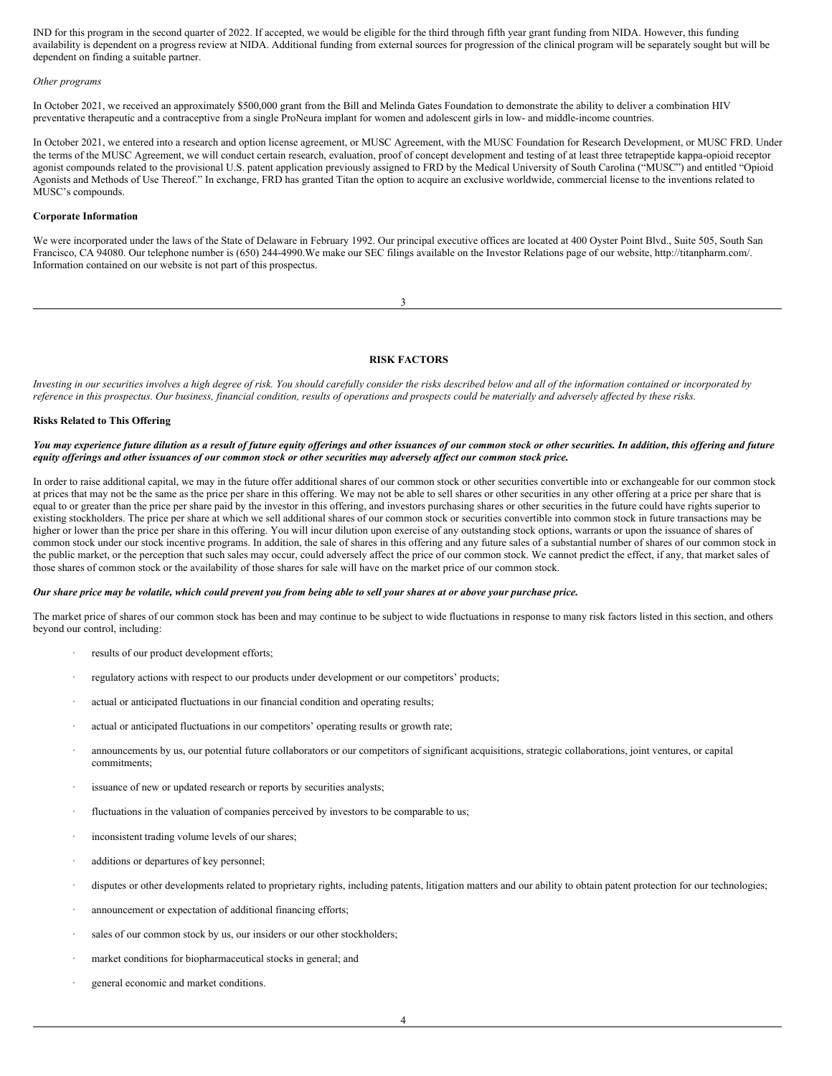IND for this program in the second quarter of 2022. If accepted, we would be eligible for the third through fifth year grant funding from NIDA. However, this funding availability is dependent on a progress review at NIDA. Additional funding from external sources for progression of the clinical program will be separately sought but will be dependent on finding a suitable partner.

#### *Other programs*

In October 2021, we received an approximately \$500,000 grant from the Bill and Melinda Gates Foundation to demonstrate the ability to deliver a combination HIV preventative therapeutic and a contraceptive from a single ProNeura implant for women and adolescent girls in low- and middle-income countries.

In October 2021, we entered into a research and option license agreement, or MUSC Agreement, with the MUSC Foundation for Research Development, or MUSC FRD. Under the terms of the MUSC Agreement, we will conduct certain research, evaluation, proof of concept development and testing of at least three tetrapeptide kappa-opioid receptor agonist compounds related to the provisional U.S. patent application previously assigned to FRD by the Medical University of South Carolina ("MUSC") and entitled "Opioid Agonists and Methods of Use Thereof." In exchange, FRD has granted Titan the option to acquire an exclusive worldwide, commercial license to the inventions related to MUSC's compounds.

### **Corporate Information**

We were incorporated under the laws of the State of Delaware in February 1992. Our principal executive offices are located at 400 Oyster Point Blvd., Suite 505, South San Francisco, CA 94080. Our telephone number is (650) 244-4990.We make our SEC filings available on the Investor Relations page of our website, http://titanpharm.com/. Information contained on our website is not part of this prospectus.

3

## <span id="page-2-0"></span>**RISK FACTORS**

Investing in our securities involves a high degree of risk. You should carefully consider the risks described below and all of the information contained or incorporated by reference in this prospectus. Our business, financial condition, results of operations and prospects could be materially and adversely affected by these risks.

### **Risks Related to This Offering**

#### You may experience future dilution as a result of future equity offerings and other issuances of our common stock or other securities. In addition, this offering and future equity offerings and other issuances of our common stock or other securities may adversely affect our common stock price.

In order to raise additional capital, we may in the future offer additional shares of our common stock or other securities convertible into or exchangeable for our common stock at prices that may not be the same as the price per share in this offering. We may not be able to sell shares or other securities in any other offering at a price per share that is equal to or greater than the price per share paid by the investor in this offering, and investors purchasing shares or other securities in the future could have rights superior to existing stockholders. The price per share at which we sell additional shares of our common stock or securities convertible into common stock in future transactions may be higher or lower than the price per share in this offering. You will incur dilution upon exercise of any outstanding stock options, warrants or upon the issuance of shares of common stock under our stock incentive programs. In addition, the sale of shares in this offering and any future sales of a substantial number of shares of our common stock in the public market, or the perception that such sales may occur, could adversely affect the price of our common stock. We cannot predict the effect, if any, that market sales of those shares of common stock or the availability of those shares for sale will have on the market price of our common stock.

#### Our share price may be volatile, which could prevent you from being able to sell your shares at or above your purchase price.

The market price of shares of our common stock has been and may continue to be subject to wide fluctuations in response to many risk factors listed in this section, and others beyond our control, including:

- results of our product development efforts;
- · regulatory actions with respect to our products under development or our competitors' products;
- actual or anticipated fluctuations in our financial condition and operating results;
- actual or anticipated fluctuations in our competitors' operating results or growth rate;
- · announcements by us, our potential future collaborators or our competitors of significant acquisitions, strategic collaborations, joint ventures, or capital commitments;
- issuance of new or updated research or reports by securities analysts;
- fluctuations in the valuation of companies perceived by investors to be comparable to us;
- inconsistent trading volume levels of our shares;
- additions or departures of key personnel;
- disputes or other developments related to proprietary rights, including patents, litigation matters and our ability to obtain patent protection for our technologies;
- announcement or expectation of additional financing efforts;
- sales of our common stock by us, our insiders or our other stockholders;
- market conditions for biopharmaceutical stocks in general; and
- general economic and market conditions.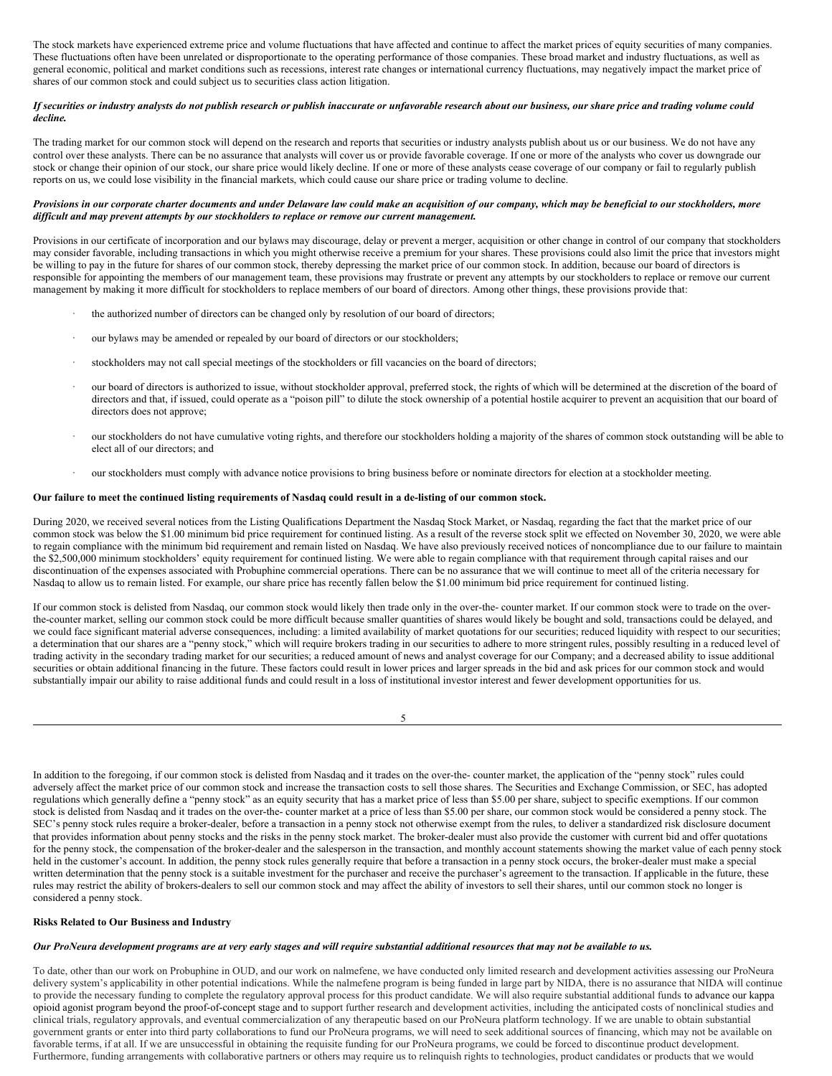The stock markets have experienced extreme price and volume fluctuations that have affected and continue to affect the market prices of equity securities of many companies. These fluctuations often have been unrelated or disproportionate to the operating performance of those companies. These broad market and industry fluctuations, as well as general economic, political and market conditions such as recessions, interest rate changes or international currency fluctuations, may negatively impact the market price of shares of our common stock and could subject us to securities class action litigation.

#### If securities or industry analysts do not publish research or publish inaccurate or unfavorable research about our business, our share price and trading volume could *decline.*

The trading market for our common stock will depend on the research and reports that securities or industry analysts publish about us or our business. We do not have any control over these analysts. There can be no assurance that analysts will cover us or provide favorable coverage. If one or more of the analysts who cover us downgrade our stock or change their opinion of our stock, our share price would likely decline. If one or more of these analysts cease coverage of our company or fail to regularly publish reports on us, we could lose visibility in the financial markets, which could cause our share price or trading volume to decline.

#### Provisions in our corporate charter documents and under Delaware law could make an acquisition of our company, which may be beneficial to our stockholders, more *dif icult and may prevent attempts by our stockholders to replace or remove our current management.*

Provisions in our certificate of incorporation and our bylaws may discourage, delay or prevent a merger, acquisition or other change in control of our company that stockholders may consider favorable, including transactions in which you might otherwise receive a premium for your shares. These provisions could also limit the price that investors might be willing to pay in the future for shares of our common stock, thereby depressing the market price of our common stock. In addition, because our board of directors is responsible for appointing the members of our management team, these provisions may frustrate or prevent any attempts by our stockholders to replace or remove our current management by making it more difficult for stockholders to replace members of our board of directors. Among other things, these provisions provide that:

- the authorized number of directors can be changed only by resolution of our board of directors;
- · our bylaws may be amended or repealed by our board of directors or our stockholders;
- stockholders may not call special meetings of the stockholders or fill vacancies on the board of directors;
- our board of directors is authorized to issue, without stockholder approval, preferred stock, the rights of which will be determined at the discretion of the board of directors and that, if issued, could operate as a "poison pill" to dilute the stock ownership of a potential hostile acquirer to prevent an acquisition that our board of directors does not approve;
- · our stockholders do not have cumulative voting rights, and therefore our stockholders holding a majority of the shares of common stock outstanding will be able to elect all of our directors; and
- · our stockholders must comply with advance notice provisions to bring business before or nominate directors for election at a stockholder meeting.

#### Our failure to meet the continued listing requirements of Nasdaq could result in a de-listing of our common stock.

During 2020, we received several notices from the Listing Qualifications Department the Nasdaq Stock Market, or Nasdaq, regarding the fact that the market price of our common stock was below the \$1.00 minimum bid price requirement for continued listing. As a result of the reverse stock split we effected on November 30, 2020, we were able to regain compliance with the minimum bid requirement and remain listed on Nasdaq. We have also previously received notices of noncompliance due to our failure to maintain the \$2,500,000 minimum stockholders' equity requirement for continued listing. We were able to regain compliance with that requirement through capital raises and our discontinuation of the expenses associated with Probuphine commercial operations. There can be no assurance that we will continue to meet all of the criteria necessary for Nasdaq to allow us to remain listed. For example, our share price has recently fallen below the \$1.00 minimum bid price requirement for continued listing.

If our common stock is delisted from Nasdaq, our common stock would likely then trade only in the over-the- counter market. If our common stock were to trade on the overthe-counter market, selling our common stock could be more difficult because smaller quantities of shares would likely be bought and sold, transactions could be delayed, and we could face significant material adverse consequences, including: a limited availability of market quotations for our securities; reduced liquidity with respect to our securities; a determination that our shares are a "penny stock," which will require brokers trading in our securities to adhere to more stringent rules, possibly resulting in a reduced level of trading activity in the secondary trading market for our securities; a reduced amount of news and analyst coverage for our Company; and a decreased ability to issue additional securities or obtain additional financing in the future. These factors could result in lower prices and larger spreads in the bid and ask prices for our common stock and would substantially impair our ability to raise additional funds and could result in a loss of institutional investor interest and fewer development opportunities for us.

| I<br>I |  |
|--------|--|
| $\sim$ |  |

In addition to the foregoing, if our common stock is delisted from Nasdaq and it trades on the over-the- counter market, the application of the "penny stock" rules could adversely affect the market price of our common stock and increase the transaction costs to sell those shares. The Securities and Exchange Commission, or SEC, has adopted regulations which generally define a "penny stock" as an equity security that has a market price of less than \$5.00 per share, subject to specific exemptions. If our common stock is delisted from Nasdaq and it trades on the over-the- counter market at a price of less than \$5.00 per share, our common stock would be considered a penny stock. The SEC's penny stock rules require a broker-dealer, before a transaction in a penny stock not otherwise exempt from the rules, to deliver a standardized risk disclosure document that provides information about penny stocks and the risks in the penny stock market. The broker-dealer must also provide the customer with current bid and offer quotations for the penny stock, the compensation of the broker-dealer and the salesperson in the transaction, and monthly account statements showing the market value of each penny stock held in the customer's account. In addition, the penny stock rules generally require that before a transaction in a penny stock occurs, the broker-dealer must make a special written determination that the penny stock is a suitable investment for the purchaser and receive the purchaser's agreement to the transaction. If applicable in the future, these rules may restrict the ability of brokers-dealers to sell our common stock and may affect the ability of investors to sell their shares, until our common stock no longer is considered a penny stock.

#### **Risks Related to Our Business and Industry**

## Our ProNeura development programs are at very early stages and will require substantial additional resources that may not be available to us.

To date, other than our work on Probuphine in OUD, and our work on nalmefene, we have conducted only limited research and development activities assessing our ProNeura delivery system's applicability in other potential indications. While the nalmefene program is being funded in large part by NIDA, there is no assurance that NIDA will continue to provide the necessary funding to complete the regulatory approval process for this product candidate. We will also require substantial additional funds to advance our kappa opioid agonist program beyond the proof-of-concept stage and to support further research and development activities, including the anticipated costs of nonclinical studies and clinical trials, regulatory approvals, and eventual commercialization of any therapeutic based on our ProNeura platform technology. If we are unable to obtain substantial government grants or enter into third party collaborations to fund our ProNeura programs, we will need to seek additional sources of financing, which may not be available on favorable terms, if at all. If we are unsuccessful in obtaining the requisite funding for our ProNeura programs, we could be forced to discontinue product development. Furthermore, funding arrangements with collaborative partners or others may require us to relinquish rights to technologies, product candidates or products that we would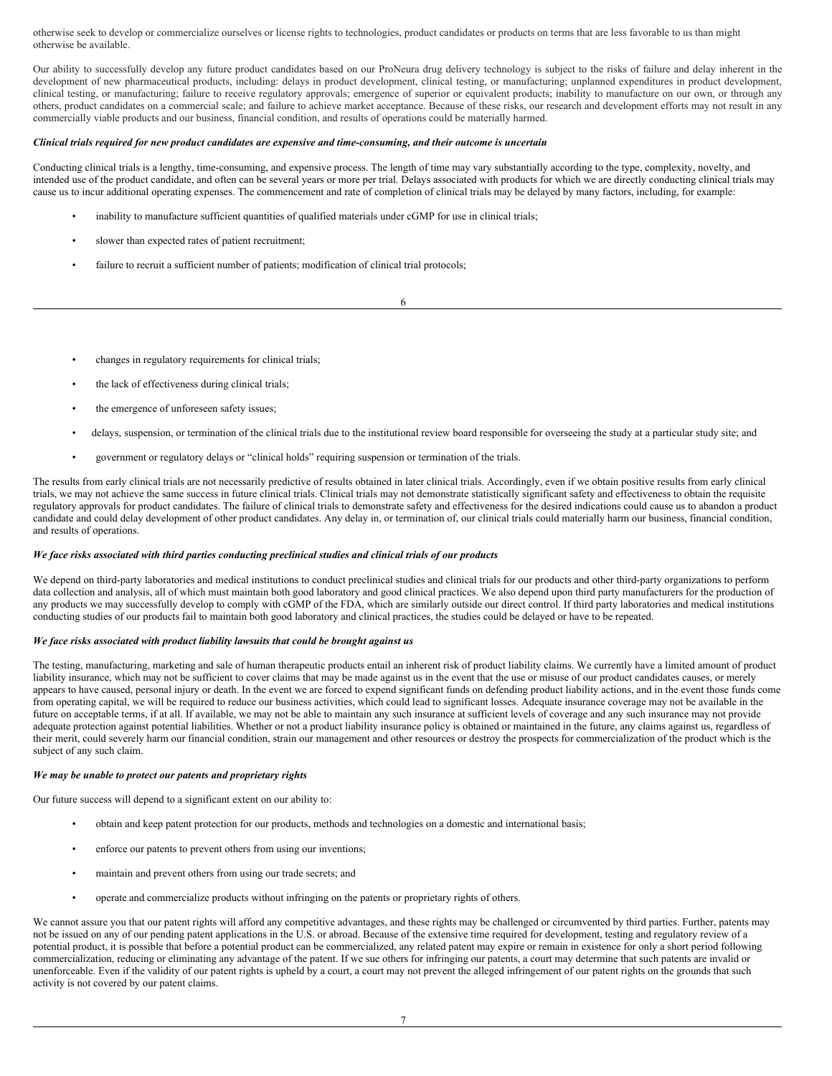otherwise seek to develop or commercialize ourselves or license rights to technologies, product candidates or products on terms that are less favorable to us than might otherwise be available.

Our ability to successfully develop any future product candidates based on our ProNeura drug delivery technology is subject to the risks of failure and delay inherent in the development of new pharmaceutical products, including: delays in product development, clinical testing, or manufacturing; unplanned expenditures in product development, clinical testing, or manufacturing; failure to receive regulatory approvals; emergence of superior or equivalent products; inability to manufacture on our own, or through any others, product candidates on a commercial scale; and failure to achieve market acceptance. Because of these risks, our research and development efforts may not result in any commercially viable products and our business, financial condition, and results of operations could be materially harmed.

### Clinical trials required for new product candidates are expensive and time-consuming, and their outcome is uncertain

Conducting clinical trials is a lengthy, time-consuming, and expensive process. The length of time may vary substantially according to the type, complexity, novelty, and intended use of the product candidate, and often can be several years or more per trial. Delays associated with products for which we are directly conducting clinical trials may cause us to incur additional operating expenses. The commencement and rate of completion of clinical trials may be delayed by many factors, including, for example:

- inability to manufacture sufficient quantities of qualified materials under cGMP for use in clinical trials;
- slower than expected rates of patient recruitment;
- failure to recruit a sufficient number of patients; modification of clinical trial protocols;

6

- changes in regulatory requirements for clinical trials;
- the lack of effectiveness during clinical trials;
- the emergence of unforeseen safety issues;
- delays, suspension, or termination of the clinical trials due to the institutional review board responsible for overseeing the study at a particular study site; and
- government or regulatory delays or "clinical holds" requiring suspension or termination of the trials.

The results from early clinical trials are not necessarily predictive of results obtained in later clinical trials. Accordingly, even if we obtain positive results from early clinical trials, we may not achieve the same success in future clinical trials. Clinical trials may not demonstrate statistically significant safety and effectiveness to obtain the requisite regulatory approvals for product candidates. The failure of clinical trials to demonstrate safety and effectiveness for the desired indications could cause us to abandon a product candidate and could delay development of other product candidates. Any delay in, or termination of, our clinical trials could materially harm our business, financial condition, and results of operations.

#### We face risks associated with third parties conducting preclinical studies and clinical trials of our products

We depend on third-party laboratories and medical institutions to conduct preclinical studies and clinical trials for our products and other third-party organizations to perform data collection and analysis, all of which must maintain both good laboratory and good clinical practices. We also depend upon third party manufacturers for the production of any products we may successfully develop to comply with cGMP of the FDA, which are similarly outside our direct control. If third party laboratories and medical institutions conducting studies of our products fail to maintain both good laboratory and clinical practices, the studies could be delayed or have to be repeated.

### *We face risks associated with product liability lawsuits that could be brought against us.*

The testing, manufacturing, marketing and sale of human therapeutic products entail an inherent risk of product liability claims. We currently have a limited amount of product liability insurance, which may not be sufficient to cover claims that may be made against us in the event that the use or misuse of our product candidates causes, or merely appears to have caused, personal injury or death. In the event we are forced to expend significant funds on defending product liability actions, and in the event those funds come from operating capital, we will be required to reduce our business activities, which could lead to significant losses. Adequate insurance coverage may not be available in the future on acceptable terms, if at all. If available, we may not be able to maintain any such insurance at sufficient levels of coverage and any such insurance may not provide adequate protection against potential liabilities. Whether or not a product liability insurance policy is obtained or maintained in the future, any claims against us, regardless of their merit, could severely harm our financial condition, strain our management and other resources or destroy the prospects for commercialization of the product which is the subject of any such claim.

### *We may be unable to protect our patents and proprietary rights.*

Our future success will depend to a significant extent on our ability to:

- obtain and keep patent protection for our products, methods and technologies on a domestic and international basis;
- enforce our patents to prevent others from using our inventions;
- maintain and prevent others from using our trade secrets; and
- operate and commercialize products without infringing on the patents or proprietary rights of others.

We cannot assure you that our patent rights will afford any competitive advantages, and these rights may be challenged or circumvented by third parties. Further, patents may not be issued on any of our pending patent applications in the U.S. or abroad. Because of the extensive time required for development, testing and regulatory review of a potential product, it is possible that before a potential product can be commercialized, any related patent may expire or remain in existence for only a short period following commercialization, reducing or eliminating any advantage of the patent. If we sue others for infringing our patents, a court may determine that such patents are invalid or unenforceable. Even if the validity of our patent rights is upheld by a court, a court may not prevent the alleged infringement of our patent rights on the grounds that such activity is not covered by our patent claims.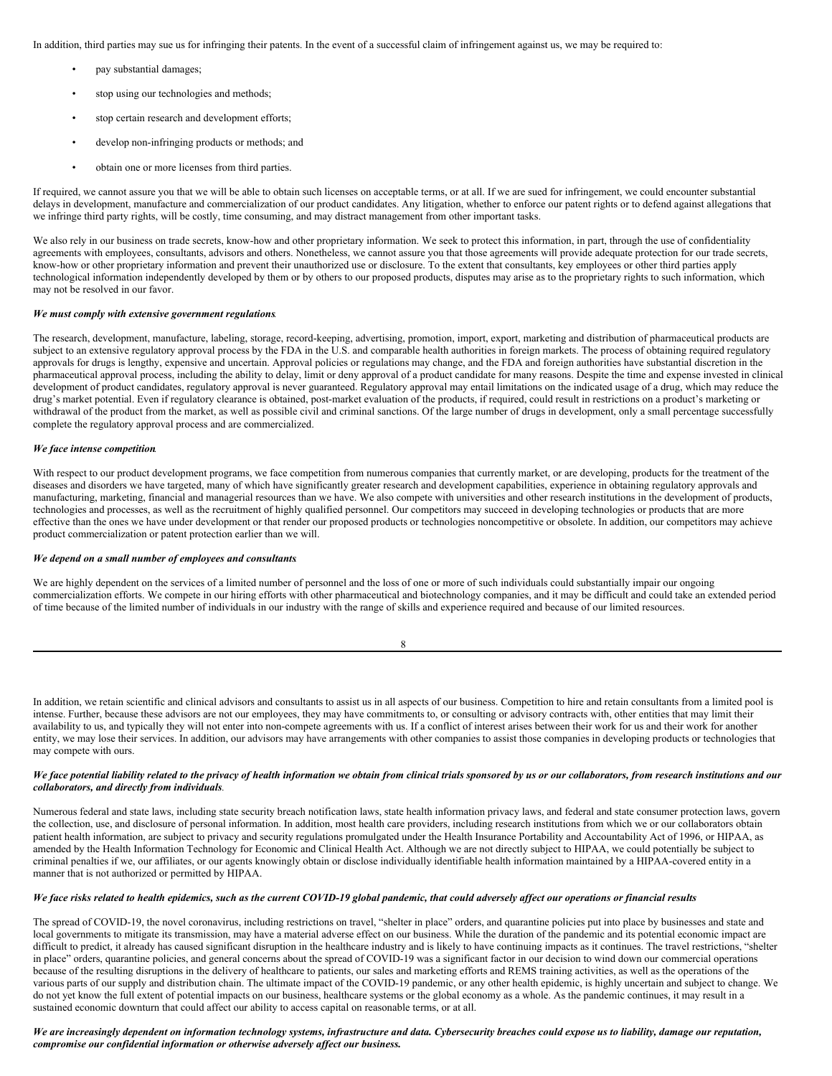In addition, third parties may sue us for infringing their patents. In the event of a successful claim of infringement against us, we may be required to:

- pay substantial damages;
- stop using our technologies and methods;
- stop certain research and development efforts;
- develop non-infringing products or methods; and
- obtain one or more licenses from third parties.

If required, we cannot assure you that we will be able to obtain such licenses on acceptable terms, or at all. If we are sued for infringement, we could encounter substantial delays in development, manufacture and commercialization of our product candidates. Any litigation, whether to enforce our patent rights or to defend against allegations that we infringe third party rights, will be costly, time consuming, and may distract management from other important tasks.

We also rely in our business on trade secrets, know-how and other proprietary information. We seek to protect this information, in part, through the use of confidentiality agreements with employees, consultants, advisors and others. Nonetheless, we cannot assure you that those agreements will provide adequate protection for our trade secrets, know-how or other proprietary information and prevent their unauthorized use or disclosure. To the extent that consultants, key employees or other third parties apply technological information independently developed by them or by others to our proposed products, disputes may arise as to the proprietary rights to such information, which may not be resolved in our favor.

#### *We must comply with extensive government regulations.*

The research, development, manufacture, labeling, storage, record-keeping, advertising, promotion, import, export, marketing and distribution of pharmaceutical products are subject to an extensive regulatory approval process by the FDA in the U.S. and comparable health authorities in foreign markets. The process of obtaining required regulatory approvals for drugs is lengthy, expensive and uncertain. Approval policies or regulations may change, and the FDA and foreign authorities have substantial discretion in the pharmaceutical approval process, including the ability to delay, limit or deny approval of a product candidate for many reasons. Despite the time and expense invested in clinical development of product candidates, regulatory approval is never guaranteed. Regulatory approval may entail limitations on the indicated usage of a drug, which may reduce the drug's market potential. Even if regulatory clearance is obtained, post-market evaluation of the products, if required, could result in restrictions on a product's marketing or withdrawal of the product from the market, as well as possible civil and criminal sanctions. Of the large number of drugs in development, only a small percentage successfully complete the regulatory approval process and are commercialized.

#### *We face intense competition.*

With respect to our product development programs, we face competition from numerous companies that currently market, or are developing, products for the treatment of the diseases and disorders we have targeted, many of which have significantly greater research and development capabilities, experience in obtaining regulatory approvals and manufacturing, marketing, financial and managerial resources than we have. We also compete with universities and other research institutions in the development of products, technologies and processes, as well as the recruitment of highly qualified personnel. Our competitors may succeed in developing technologies or products that are more effective than the ones we have under development or that render our proposed products or technologies noncompetitive or obsolete. In addition, our competitors may achieve product commercialization or patent protection earlier than we will.

#### *We depend on a small number of employees and consultants.*

We are highly dependent on the services of a limited number of personnel and the loss of one or more of such individuals could substantially impair our ongoing commercialization efforts. We compete in our hiring efforts with other pharmaceutical and biotechnology companies, and it may be difficult and could take an extended period of time because of the limited number of individuals in our industry with the range of skills and experience required and because of our limited resources.

| I |  |
|---|--|
| ï |  |

In addition, we retain scientific and clinical advisors and consultants to assist us in all aspects of our business. Competition to hire and retain consultants from a limited pool is intense. Further, because these advisors are not our employees, they may have commitments to, or consulting or advisory contracts with, other entities that may limit their availability to us, and typically they will not enter into non-compete agreements with us. If a conflict of interest arises between their work for us and their work for another entity, we may lose their services. In addition, our advisors may have arrangements with other companies to assist those companies in developing products or technologies that may compete with ours.

### We face potential liability related to the privacy of health information we obtain from clinical trials sponsored by us or our collaborators, from research institutions and our *collaborators, and directly from individuals.*

Numerous federal and state laws, including state security breach notification laws, state health information privacy laws, and federal and state consumer protection laws, govern the collection, use, and disclosure of personal information. In addition, most health care providers, including research institutions from which we or our collaborators obtain patient health information, are subject to privacy and security regulations promulgated under the Health Insurance Portability and Accountability Act of 1996, or HIPAA, as amended by the Health Information Technology for Economic and Clinical Health Act. Although we are not directly subject to HIPAA, we could potentially be subject to criminal penalties if we, our affiliates, or our agents knowingly obtain or disclose individually identifiable health information maintained by a HIPAA-covered entity in a manner that is not authorized or permitted by HIPAA.

# We face risks related to health epidemics, such as the current COVID-19 global pandemic, that could adversely affect our operations or financial results

The spread of COVID-19, the novel coronavirus, including restrictions on travel, "shelter in place" orders, and quarantine policies put into place by businesses and state and local governments to mitigate its transmission, may have a material adverse effect on our business. While the duration of the pandemic and its potential economic impact are difficult to predict, it already has caused significant disruption in the healthcare industry and is likely to have continuing impacts as it continues. The travel restrictions, "shelter in place" orders, quarantine policies, and general concerns about the spread of COVID-19 was a significant factor in our decision to wind down our commercial operations because of the resulting disruptions in the delivery of healthcare to patients, our sales and marketing efforts and REMS training activities, as well as the operations of the various parts of our supply and distribution chain. The ultimate impact of the COVID-19 pandemic, or any other health epidemic, is highly uncertain and subject to change. We do not yet know the full extent of potential impacts on our business, healthcare systems or the global economy as a whole. As the pandemic continues, it may result in a sustained economic downturn that could affect our ability to access capital on reasonable terms, or at all.

### We are increasingly dependent on information technology systems, infrastructure and data. Cybersecurity breaches could expose us to liability, damage our reputation, *compromise our confidential information or otherwise adversely af ect our business.*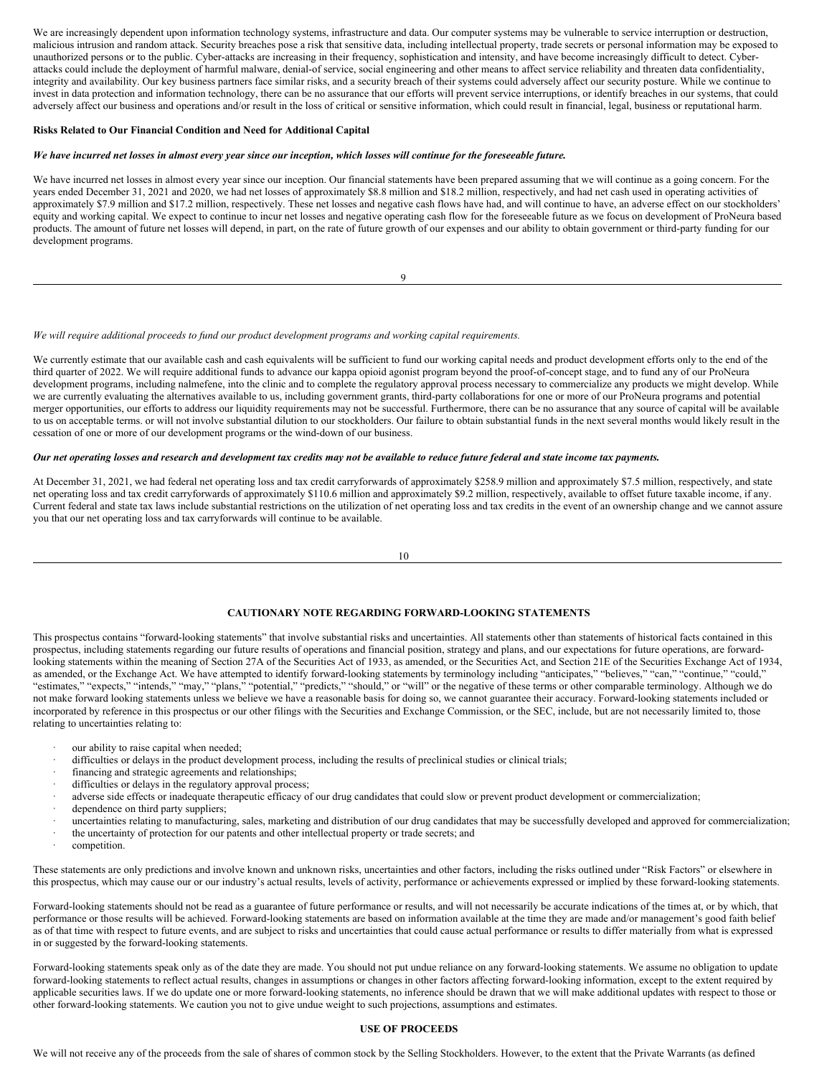We are increasingly dependent upon information technology systems, infrastructure and data. Our computer systems may be vulnerable to service interruption or destruction, malicious intrusion and random attack. Security breaches pose a risk that sensitive data, including intellectual property, trade secrets or personal information may be exposed to unauthorized persons or to the public. Cyber-attacks are increasing in their frequency, sophistication and intensity, and have become increasingly difficult to detect. Cyberattacks could include the deployment of harmful malware, denial-of service, social engineering and other means to affect service reliability and threaten data confidentiality, integrity and availability. Our key business partners face similar risks, and a security breach of their systems could adversely affect our security posture. While we continue to invest in data protection and information technology, there can be no assurance that our efforts will prevent service interruptions, or identify breaches in our systems, that could adversely affect our business and operations and/or result in the loss of critical or sensitive information, which could result in financial, legal, business or reputational harm.

#### **Risks Related to Our Financial Condition and Need for Additional Capital**

#### We have incurred net losses in almost every year since our inception, which losses will continue for the foreseeable future.

We have incurred net losses in almost every year since our inception. Our financial statements have been prepared assuming that we will continue as a going concern. For the years ended December 31, 2021 and 2020, we had net losses of approximately \$8.8 million and \$18.2 million, respectively, and had net cash used in operating activities of approximately \$7.9 million and \$17.2 million, respectively. These net losses and negative cash flows have had, and will continue to have, an adverse effect on our stockholders' equity and working capital. We expect to continue to incur net losses and negative operating cash flow for the foreseeable future as we focus on development of ProNeura based products. The amount of future net losses will depend, in part, on the rate of future growth of our expenses and our ability to obtain government or third-party funding for our development programs.

 $\alpha$ 

#### *We will require additional proceeds to fund our product development programs and working capital requirements.*

We currently estimate that our available cash and cash equivalents will be sufficient to fund our working capital needs and product development efforts only to the end of the third quarter of 2022. We will require additional funds to advance our kappa opioid agonist program beyond the proof-of-concept stage, and to fund any of our ProNeura development programs, including nalmefene, into the clinic and to complete the regulatory approval process necessary to commercialize any products we might develop. While we are currently evaluating the alternatives available to us, including government grants, third-party collaborations for one or more of our ProNeura programs and potential merger opportunities, our efforts to address our liquidity requirements may not be successful. Furthermore, there can be no assurance that any source of capital will be available to us on acceptable terms. or will not involve substantial dilution to our stockholders. Our failure to obtain substantial funds in the next several months would likely result in the cessation of one or more of our development programs or the wind-down of our business.

#### Our net operating losses and research and development tax credits may not be available to reduce future federal and state income tax payments.

At December 31, 2021, we had federal net operating loss and tax credit carryforwards of approximately \$258.9 million and approximately \$7.5 million, respectively, and state net operating loss and tax credit carryforwards of approximately \$110.6 million and approximately \$9.2 million, respectively, available to offset future taxable income, if any. Current federal and state tax laws include substantial restrictions on the utilization of net operating loss and tax credits in the event of an ownership change and we cannot assure you that our net operating loss and tax carryforwards will continue to be available.

10

#### <span id="page-6-0"></span>**CAUTIONARY NOTE REGARDING FORWARD-LOOKING STATEMENTS**

This prospectus contains "forward-looking statements" that involve substantial risks and uncertainties. All statements other than statements of historical facts contained in this prospectus, including statements regarding our future results of operations and financial position, strategy and plans, and our expectations for future operations, are forwardlooking statements within the meaning of Section 27A of the Securities Act of 1933, as amended, or the Securities Act, and Section 21E of the Securities Exchange Act of 1934, as amended, or the Exchange Act. We have attempted to identify forward-looking statements by terminology including "anticipates," "believes," "can," "continue," "could," "estimates," "expects," "intends," "may," "plans," "potential," "predicts," "should," or "will" or the negative of these terms or other comparable terminology. Although we do not make forward looking statements unless we believe we have a reasonable basis for doing so, we cannot guarantee their accuracy. Forward-looking statements included or incorporated by reference in this prospectus or our other filings with the Securities and Exchange Commission, or the SEC, include, but are not necessarily limited to, those relating to uncertainties relating to:

- our ability to raise capital when needed;
- difficulties or delays in the product development process, including the results of preclinical studies or clinical trials;
- financing and strategic agreements and relationships;
- difficulties or delays in the regulatory approval process;
- adverse side effects or inadequate therapeutic efficacy of our drug candidates that could slow or prevent product development or commercialization;
- dependence on third party suppliers;
- · uncertainties relating to manufacturing, sales, marketing and distribution of our drug candidates that may be successfully developed and approved for commercialization;
- the uncertainty of protection for our patents and other intellectual property or trade secrets; and
- competition.

These statements are only predictions and involve known and unknown risks, uncertainties and other factors, including the risks outlined under "Risk Factors" or elsewhere in this prospectus, which may cause our or our industry's actual results, levels of activity, performance or achievements expressed or implied by these forward-looking statements.

Forward-looking statements should not be read as a guarantee of future performance or results, and will not necessarily be accurate indications of the times at, or by which, that performance or those results will be achieved. Forward-looking statements are based on information available at the time they are made and/or management's good faith belief as of that time with respect to future events, and are subject to risks and uncertainties that could cause actual performance or results to differ materially from what is expressed in or suggested by the forward-looking statements.

Forward-looking statements speak only as of the date they are made. You should not put undue reliance on any forward-looking statements. We assume no obligation to update forward-looking statements to reflect actual results, changes in assumptions or changes in other factors affecting forward-looking information, except to the extent required by applicable securities laws. If we do update one or more forward-looking statements, no inference should be drawn that we will make additional updates with respect to those or other forward-looking statements. We caution you not to give undue weight to such projections, assumptions and estimates.

### <span id="page-6-1"></span>**USE OF PROCEEDS**

We will not receive any of the proceeds from the sale of shares of common stock by the Selling Stockholders. However, to the extent that the Private Warrants (as defined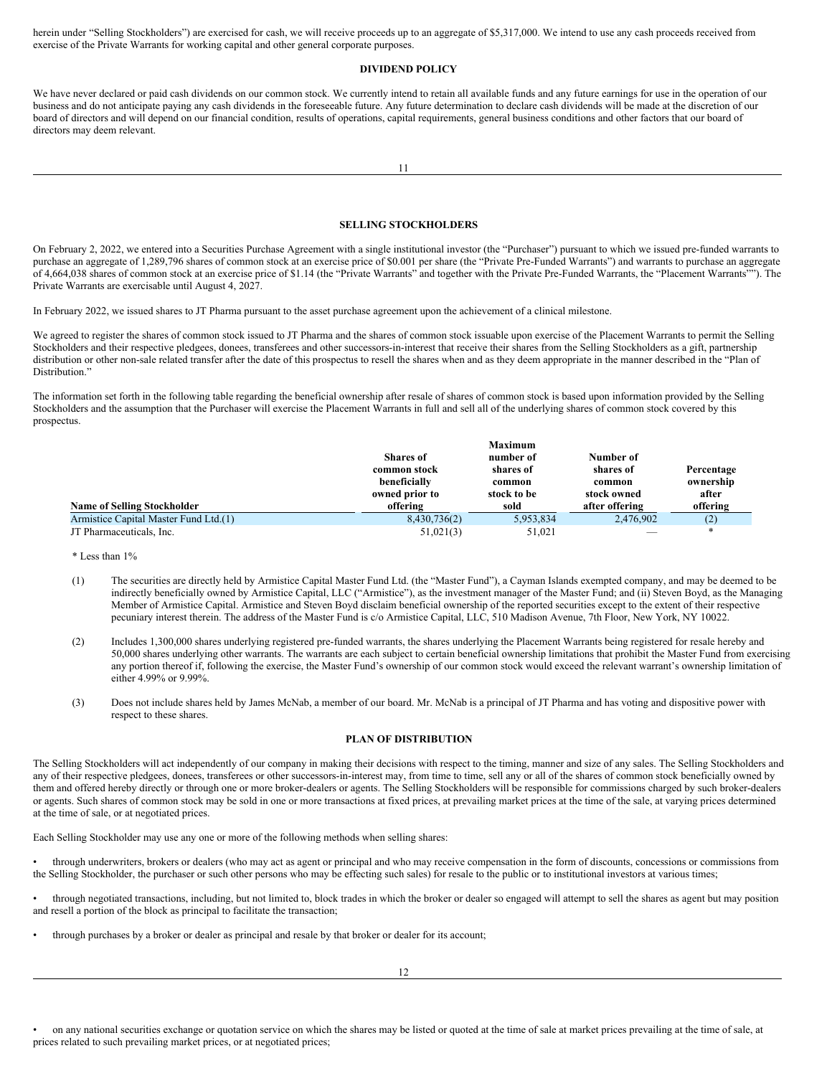herein under "Selling Stockholders") are exercised for cash, we will receive proceeds up to an aggregate of \$5,317,000. We intend to use any cash proceeds received from exercise of the Private Warrants for working capital and other general corporate purposes.

### **DIVIDEND POLICY**

We have never declared or paid cash dividends on our common stock. We currently intend to retain all available funds and any future earnings for use in the operation of our business and do not anticipate paying any cash dividends in the foreseeable future. Any future determination to declare cash dividends will be made at the discretion of our board of directors and will depend on our financial condition, results of operations, capital requirements, general business conditions and other factors that our board of directors may deem relevant.

### <span id="page-7-0"></span>**SELLING STOCKHOLDERS**

On February 2, 2022, we entered into a Securities Purchase Agreement with a single institutional investor (the "Purchaser") pursuant to which we issued pre-funded warrants to purchase an aggregate of 1,289,796 shares of common stock at an exercise price of \$0.001 per share (the "Private Pre-Funded Warrants") and warrants to purchase an aggregate of 4,664,038 shares of common stock at an exercise price of \$1.14 (the "Private Warrants" and together with the Private Pre-Funded Warrants, the "Placement Warrants""). The Private Warrants are exercisable until August 4, 2027.

In February 2022, we issued shares to JT Pharma pursuant to the asset purchase agreement upon the achievement of a clinical milestone.

We agreed to register the shares of common stock issued to JT Pharma and the shares of common stock issuable upon exercise of the Placement Warrants to permit the Selling Stockholders and their respective pledgees, donees, transferees and other successors-in-interest that receive their shares from the Selling Stockholders as a gift, partnership distribution or other non-sale related transfer after the date of this prospectus to resell the shares when and as they deem appropriate in the manner described in the "Plan of Distribution."

The information set forth in the following table regarding the beneficial ownership after resale of shares of common stock is based upon information provided by the Selling Stockholders and the assumption that the Purchaser will exercise the Placement Warrants in full and sell all of the underlying shares of common stock covered by this prospectus.

|                                       |                  | <b>Maximum</b> |                |            |
|---------------------------------------|------------------|----------------|----------------|------------|
|                                       | <b>Shares</b> of | number of      | Number of      |            |
|                                       | common stock     | shares of      | shares of      | Percentage |
|                                       | beneficially     | common         | common         | ownership  |
|                                       | owned prior to   | stock to be    | stock owned    | after      |
| <b>Name of Selling Stockholder</b>    | offering         | sold           | after offering | offering   |
| Armistice Capital Master Fund Ltd.(1) | 8,430,736(2)     | 5,953,834      | 2.476.902      | (2)        |
| JT Pharmaceuticals. Inc.              | 51,021(3)        | 51.021         |                | $*$        |

\* Less than 1%

- (1) The securities are directly held by Armistice Capital Master Fund Ltd. (the "Master Fund"), a Cayman Islands exempted company, and may be deemed to be indirectly beneficially owned by Armistice Capital, LLC ("Armistice"), as the investment manager of the Master Fund; and (ii) Steven Boyd, as the Managing Member of Armistice Capital. Armistice and Steven Boyd disclaim beneficial ownership of the reported securities except to the extent of their respective pecuniary interest therein. The address of the Master Fund is c/o Armistice Capital, LLC, 510 Madison Avenue, 7th Floor, New York, NY 10022.
- (2) Includes 1,300,000 shares underlying registered pre-funded warrants, the shares underlying the Placement Warrants being registered for resale hereby and 50,000 shares underlying other warrants. The warrants are each subject to certain beneficial ownership limitations that prohibit the Master Fund from exercising any portion thereof if, following the exercise, the Master Fund's ownership of our common stock would exceed the relevant warrant's ownership limitation of either 4.99% or 9.99%.
- (3) Does not include shares held by James McNab, a member of our board. Mr. McNab is a principal of JT Pharma and has voting and dispositive power with respect to these shares.

### <span id="page-7-1"></span>**PLAN OF DISTRIBUTION**

The Selling Stockholders will act independently of our company in making their decisions with respect to the timing, manner and size of any sales. The Selling Stockholders and any of their respective pledgees, donees, transferees or other successors-in-interest may, from time to time, sell any or all of the shares of common stock beneficially owned by them and offered hereby directly or through one or more broker-dealers or agents. The Selling Stockholders will be responsible for commissions charged by such broker-dealers or agents. Such shares of common stock may be sold in one or more transactions at fixed prices, at prevailing market prices at the time of the sale, at varying prices determined at the time of sale, or at negotiated prices.

Each Selling Stockholder may use any one or more of the following methods when selling shares:

• through underwriters, brokers or dealers (who may act as agent or principal and who may receive compensation in the form of discounts, concessions or commissions from the Selling Stockholder, the purchaser or such other persons who may be effecting such sales) for resale to the public or to institutional investors at various times;

• through negotiated transactions, including, but not limited to, block trades in which the broker or dealer so engaged will attempt to sell the shares as agent but may position and resell a portion of the block as principal to facilitate the transaction;

• through purchases by a broker or dealer as principal and resale by that broker or dealer for its account;

• on any national securities exchange or quotation service on which the shares may be listed or quoted at the time of sale at market prices prevailing at the time of sale, at prices related to such prevailing market prices, or at negotiated prices;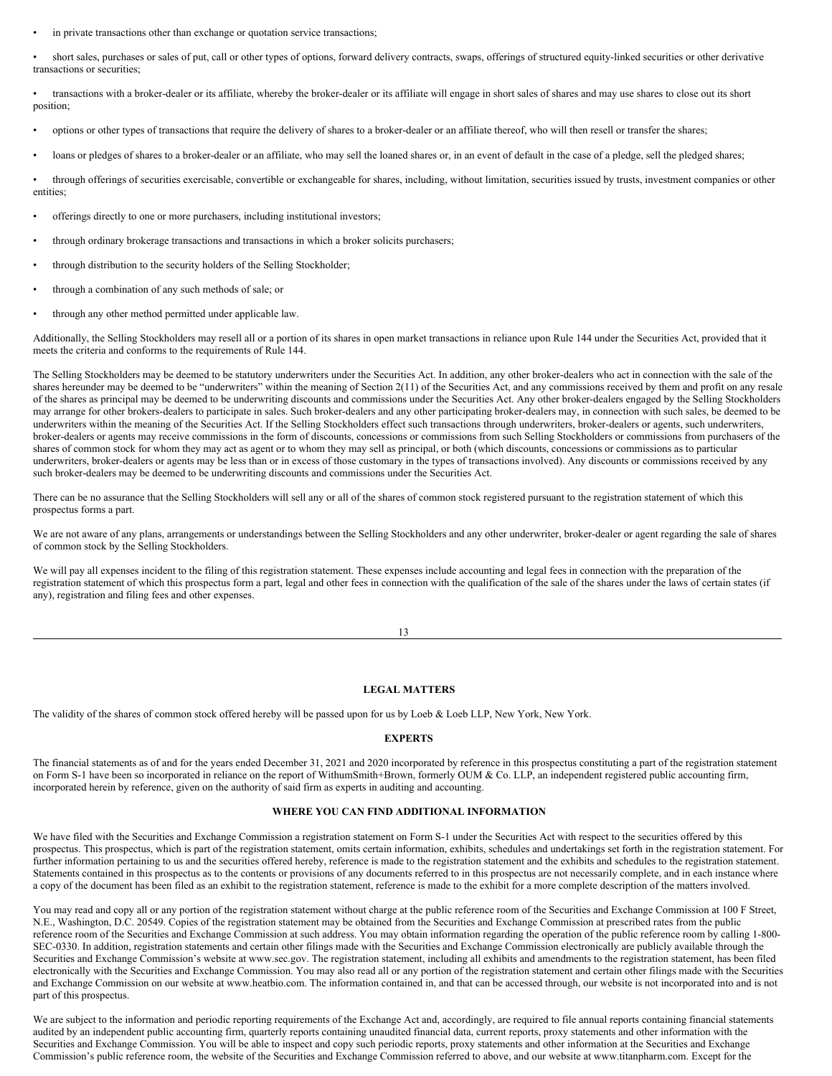in private transactions other than exchange or quotation service transactions;

• short sales, purchases or sales of put, call or other types of options, forward delivery contracts, swaps, offerings of structured equity-linked securities or other derivative transactions or securities;

• transactions with a broker-dealer or its affiliate, whereby the broker-dealer or its affiliate will engage in short sales of shares and may use shares to close out its short position;

- options or other types of transactions that require the delivery of shares to a broker-dealer or an affiliate thereof, who will then resell or transfer the shares;
- loans or pledges of shares to a broker-dealer or an affiliate, who may sell the loaned shares or, in an event of default in the case of a pledge, sell the pledged shares;

• through offerings of securities exercisable, convertible or exchangeable for shares, including, without limitation, securities issued by trusts, investment companies or other entities;

- offerings directly to one or more purchasers, including institutional investors;
- through ordinary brokerage transactions and transactions in which a broker solicits purchasers;
- through distribution to the security holders of the Selling Stockholder;
- through a combination of any such methods of sale; or
- through any other method permitted under applicable law.

Additionally, the Selling Stockholders may resell all or a portion of its shares in open market transactions in reliance upon Rule 144 under the Securities Act, provided that it meets the criteria and conforms to the requirements of Rule 144.

The Selling Stockholders may be deemed to be statutory underwriters under the Securities Act. In addition, any other broker-dealers who act in connection with the sale of the shares hereunder may be deemed to be "underwriters" within the meaning of Section 2(11) of the Securities Act, and any commissions received by them and profit on any resale of the shares as principal may be deemed to be underwriting discounts and commissions under the Securities Act. Any other broker-dealers engaged by the Selling Stockholders may arrange for other brokers-dealers to participate in sales. Such broker-dealers and any other participating broker-dealers may, in connection with such sales, be deemed to be underwriters within the meaning of the Securities Act. If the Selling Stockholders effect such transactions through underwriters, broker-dealers or agents, such underwriters, broker-dealers or agents may receive commissions in the form of discounts, concessions or commissions from such Selling Stockholders or commissions from purchasers of the shares of common stock for whom they may act as agent or to whom they may sell as principal, or both (which discounts, concessions or commissions as to particular underwriters, broker-dealers or agents may be less than or in excess of those customary in the types of transactions involved). Any discounts or commissions received by any such broker-dealers may be deemed to be underwriting discounts and commissions under the Securities Act.

There can be no assurance that the Selling Stockholders will sell any or all of the shares of common stock registered pursuant to the registration statement of which this prospectus forms a part.

We are not aware of any plans, arrangements or understandings between the Selling Stockholders and any other underwriter, broker-dealer or agent regarding the sale of shares of common stock by the Selling Stockholders.

We will pay all expenses incident to the filing of this registration statement. These expenses include accounting and legal fees in connection with the preparation of the registration statement of which this prospectus form a part, legal and other fees in connection with the qualification of the sale of the shares under the laws of certain states (if any), registration and filing fees and other expenses.

13

# <span id="page-8-0"></span>**LEGAL MATTERS**

The validity of the shares of common stock offered hereby will be passed upon for us by Loeb & Loeb LLP, New York, New York.

# <span id="page-8-1"></span>**EXPERTS**

The financial statements as of and for the years ended December 31, 2021 and 2020 incorporated by reference in this prospectus constituting a part of the registration statement on Form S-1 have been so incorporated in reliance on the report of WithumSmith+Brown, formerly OUM & Co. LLP, an independent registered public accounting firm, incorporated herein by reference, given on the authority of said firm as experts in auditing and accounting.

### <span id="page-8-2"></span>**WHERE YOU CAN FIND ADDITIONAL INFORMATION**

We have filed with the Securities and Exchange Commission a registration statement on Form S-1 under the Securities Act with respect to the securities offered by this prospectus. This prospectus, which is part of the registration statement, omits certain information, exhibits, schedules and undertakings set forth in the registration statement. For further information pertaining to us and the securities offered hereby, reference is made to the registration statement and the exhibits and schedules to the registration statement. Statements contained in this prospectus as to the contents or provisions of any documents referred to in this prospectus are not necessarily complete, and in each instance where a copy of the document has been filed as an exhibit to the registration statement, reference is made to the exhibit for a more complete description of the matters involved.

You may read and copy all or any portion of the registration statement without charge at the public reference room of the Securities and Exchange Commission at 100 F Street, N.E., Washington, D.C. 20549. Copies of the registration statement may be obtained from the Securities and Exchange Commission at prescribed rates from the public reference room of the Securities and Exchange Commission at such address. You may obtain information regarding the operation of the public reference room by calling 1-800- SEC-0330. In addition, registration statements and certain other filings made with the Securities and Exchange Commission electronically are publicly available through the Securities and Exchange Commission's website at www.sec.gov. The registration statement, including all exhibits and amendments to the registration statement, has been filed electronically with the Securities and Exchange Commission. You may also read all or any portion of the registration statement and certain other filings made with the Securities and Exchange Commission on our website at www.heatbio.com. The information contained in, and that can be accessed through, our website is not incorporated into and is not part of this prospectus.

We are subject to the information and periodic reporting requirements of the Exchange Act and, accordingly, are required to file annual reports containing financial statements audited by an independent public accounting firm, quarterly reports containing unaudited financial data, current reports, proxy statements and other information with the Securities and Exchange Commission. You will be able to inspect and copy such periodic reports, proxy statements and other information at the Securities and Exchange Commission's public reference room, the website of the Securities and Exchange Commission referred to above, and our website at www.titanpharm.com. Except for the